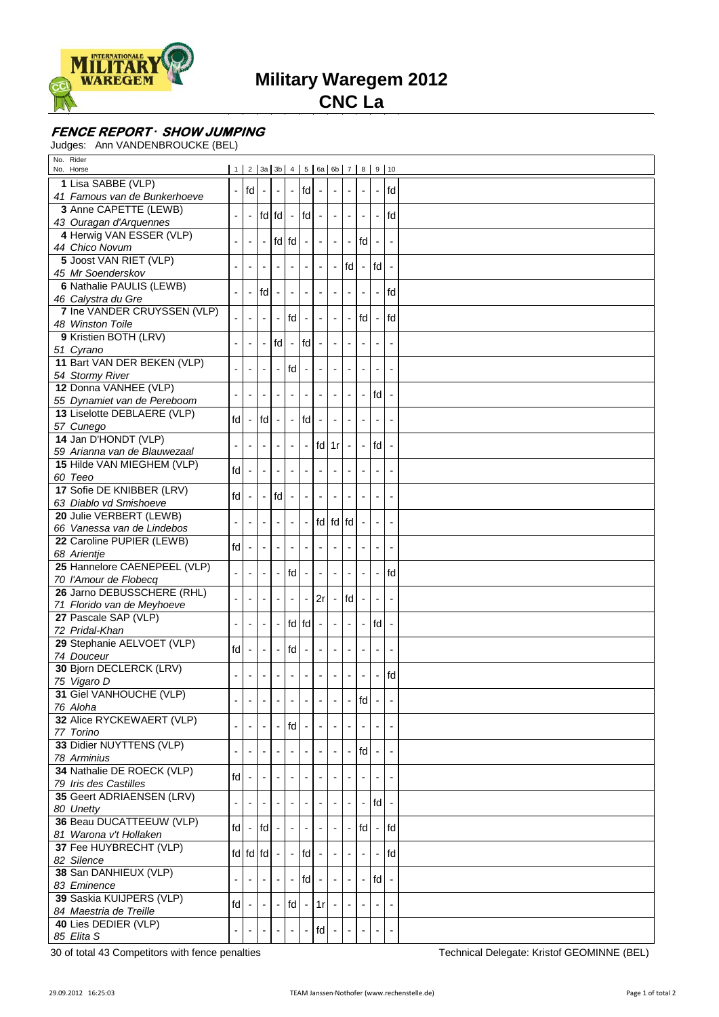

**Military Waregem 2012**

**CNC La**

## **FENCE REPORT** *·* **SHOW JUMPING**

Judges: Ann VANDENBROUCKE (BEL)

| No. Rider<br>No. Horse                      |     |                          | $1 \mid 2 \mid 3a \mid 3b \mid 4 \mid 5 \mid 6a \mid 6b \mid 7 \mid 8 \mid 9 \mid 10$ |                          |                          |                          |    |                          |        |                          |                          |                          |  |
|---------------------------------------------|-----|--------------------------|---------------------------------------------------------------------------------------|--------------------------|--------------------------|--------------------------|----|--------------------------|--------|--------------------------|--------------------------|--------------------------|--|
| 1 Lisa SABBE (VLP)                          |     |                          |                                                                                       |                          |                          |                          |    |                          |        |                          |                          |                          |  |
| 41 Famous van de Bunkerhoeve                |     | $-$ fd                   |                                                                                       | $\blacksquare$           | $\overline{\phantom{a}}$ | fd                       |    | $\overline{\phantom{a}}$ |        |                          |                          | fd                       |  |
| 3 Anne CAPETTE (LEWB)                       |     |                          |                                                                                       |                          |                          |                          |    |                          |        |                          |                          |                          |  |
| 43 Ouragan d'Arquennes                      |     | $\overline{\phantom{0}}$ | lfdlfdl -                                                                             |                          |                          | $\mathsf{Id}$ -          |    | $\overline{\phantom{a}}$ |        |                          |                          | fd                       |  |
| 4 Herwig VAN ESSER (VLP)                    |     |                          |                                                                                       |                          |                          |                          |    |                          |        |                          |                          |                          |  |
| 44 Chico Novum                              |     | $\overline{\phantom{a}}$ |                                                                                       |                          | fd fd                    | $\overline{\phantom{a}}$ |    | $\blacksquare$           |        | $\mathsf{fd}$ -          |                          | $\overline{\phantom{a}}$ |  |
| 5 Joost VAN RIET (VLP)                      |     |                          |                                                                                       |                          |                          |                          |    |                          |        |                          |                          |                          |  |
| 45 Mr Soenderskov                           |     | $\overline{\phantom{a}}$ |                                                                                       |                          |                          |                          |    | $\overline{\phantom{a}}$ | l fd l |                          | fd                       | $\overline{\phantom{a}}$ |  |
| 6 Nathalie PAULIS (LEWB)                    |     |                          |                                                                                       |                          |                          |                          |    |                          |        |                          |                          |                          |  |
| 46 Calystra du Gre                          |     |                          | fd                                                                                    |                          |                          |                          |    |                          |        |                          |                          | fd                       |  |
| 7 Ine VANDER CRUYSSEN (VLP)                 |     |                          |                                                                                       | $\overline{\phantom{a}}$ | fd                       |                          |    | $\overline{\phantom{0}}$ |        | fd                       |                          | fd                       |  |
| 48 Winston Toile                            |     |                          |                                                                                       |                          |                          |                          |    |                          |        |                          |                          |                          |  |
| 9 Kristien BOTH (LRV)                       |     |                          |                                                                                       | fd                       |                          | fd                       |    | $\overline{\phantom{a}}$ |        |                          |                          |                          |  |
| 51 Cyrano                                   |     |                          |                                                                                       |                          |                          |                          |    |                          |        |                          |                          |                          |  |
| 11 Bart VAN DER BEKEN (VLP)                 |     |                          |                                                                                       |                          | fd                       |                          |    | $\overline{a}$           |        |                          |                          |                          |  |
| 54 Stormy River                             |     |                          |                                                                                       |                          |                          |                          |    |                          |        |                          |                          |                          |  |
| 12 Donna VANHEE (VLP)                       |     |                          |                                                                                       |                          |                          |                          |    |                          |        |                          | fd                       |                          |  |
| 55 Dynamiet van de Pereboom                 |     |                          |                                                                                       |                          |                          |                          |    |                          |        |                          |                          |                          |  |
| 13 Liselotte DEBLAERE (VLP)                 | fd  |                          | fd                                                                                    |                          |                          | fd                       |    |                          |        |                          |                          |                          |  |
| 57 Cunego                                   |     |                          |                                                                                       |                          |                          |                          |    |                          |        |                          |                          |                          |  |
| 14 Jan D'HONDT (VLP)                        |     | ÷,                       |                                                                                       |                          |                          |                          |    | $fd$ 1r                  |        |                          | fd                       | $\overline{\phantom{a}}$ |  |
| 59 Arianna van de Blauwezaal                |     |                          |                                                                                       |                          |                          |                          |    |                          |        |                          |                          |                          |  |
| 15 Hilde VAN MIEGHEM (VLP)                  | fd  | $\frac{1}{2}$            |                                                                                       |                          |                          |                          |    | ٠                        |        |                          |                          | $\blacksquare$           |  |
| 60 Teeo                                     |     |                          |                                                                                       |                          |                          |                          |    |                          |        |                          |                          |                          |  |
| 17 Sofie DE KNIBBER (LRV)                   | fd  |                          |                                                                                       | fd                       |                          |                          |    |                          |        |                          |                          | $\overline{\phantom{a}}$ |  |
| 63 Diablo vd Smishoeve                      |     |                          |                                                                                       |                          |                          |                          |    |                          |        |                          |                          |                          |  |
| 20 Julie VERBERT (LEWB)                     |     |                          |                                                                                       |                          |                          |                          |    | fd fd fd                 |        |                          | $\overline{\phantom{a}}$ | $\overline{\phantom{a}}$ |  |
| 66 Vanessa van de Lindebos                  |     |                          |                                                                                       |                          |                          |                          |    |                          |        |                          |                          |                          |  |
| 22 Caroline PUPIER (LEWB)                   | fd  | $\blacksquare$           |                                                                                       |                          |                          |                          |    |                          |        |                          |                          | $\overline{\phantom{a}}$ |  |
| 68 Arientje<br>25 Hannelore CAENEPEEL (VLP) |     |                          |                                                                                       |                          |                          |                          |    |                          |        |                          |                          |                          |  |
| 70 l'Amour de Flobecq                       |     | $\frac{1}{2}$            |                                                                                       | $\overline{\phantom{a}}$ | fd                       | $\overline{\phantom{a}}$ |    | $\overline{\phantom{a}}$ |        |                          | $\overline{a}$           | fd                       |  |
| 26 Jarno DEBUSSCHERE (RHL)                  |     |                          |                                                                                       |                          |                          |                          |    |                          |        |                          |                          |                          |  |
| 71 Florido van de Meyhoeve                  |     |                          |                                                                                       |                          |                          |                          | 2r | $\overline{\phantom{a}}$ | fd     |                          |                          |                          |  |
| 27 Pascale SAP (VLP)                        |     |                          |                                                                                       |                          |                          |                          |    |                          |        |                          |                          |                          |  |
| 72 Pridal-Khan                              |     |                          |                                                                                       | $\overline{\phantom{a}}$ |                          | $fd$ $fd$ -              |    | $\overline{\phantom{a}}$ |        |                          | fd                       | $\overline{\phantom{a}}$ |  |
| 29 Stephanie AELVOET (VLP)                  |     |                          |                                                                                       |                          |                          |                          |    |                          |        |                          |                          |                          |  |
| 74 Douceur                                  | fd  |                          |                                                                                       |                          | fd                       |                          |    |                          |        |                          |                          |                          |  |
| 30 Bjorn DECLERCK (LRV)                     |     |                          |                                                                                       |                          |                          |                          |    |                          |        |                          |                          |                          |  |
| 75 Vigaro D                                 |     |                          |                                                                                       | $\overline{\phantom{a}}$ |                          |                          |    | $\overline{\phantom{a}}$ |        |                          |                          | fd                       |  |
| 31 Giel VANHOUCHE (VLP)                     |     |                          |                                                                                       |                          |                          |                          |    |                          |        |                          |                          |                          |  |
| 76 Aloha                                    |     |                          |                                                                                       |                          |                          |                          |    |                          |        | таг                      |                          |                          |  |
| 32 Alice RYCKEWAERT (VLP)                   |     |                          |                                                                                       |                          |                          |                          |    |                          |        |                          |                          |                          |  |
| 77 Torino                                   |     |                          |                                                                                       | $\blacksquare$           | fd                       |                          |    | $\overline{\phantom{a}}$ |        |                          |                          |                          |  |
| 33 Didier NUYTTENS (VLP)                    |     |                          |                                                                                       |                          |                          |                          |    |                          |        | fd                       |                          |                          |  |
| 78 Arminius                                 |     |                          |                                                                                       |                          |                          |                          |    |                          |        |                          |                          |                          |  |
| 34 Nathalie DE ROECK (VLP)                  | fd  |                          |                                                                                       |                          |                          |                          |    | $\blacksquare$           |        |                          |                          | $\overline{\phantom{a}}$ |  |
| 79 Iris des Castilles                       |     |                          |                                                                                       |                          |                          |                          |    |                          |        |                          |                          |                          |  |
| 35 Geert ADRIAENSEN (LRV)                   |     |                          |                                                                                       |                          |                          |                          |    |                          |        | $\overline{\phantom{a}}$ | $fd -$                   |                          |  |
| 80 Unetty                                   |     |                          |                                                                                       |                          |                          |                          |    |                          |        |                          |                          |                          |  |
| 36 Beau DUCATTEEUW (VLP)                    | fd  |                          | $-$ fd                                                                                |                          |                          |                          |    | $\overline{\phantom{a}}$ |        | $\mathsf{fd}$ -          |                          | fd                       |  |
| 81 Warona v't Hollaken                      |     |                          |                                                                                       |                          |                          |                          |    |                          |        |                          |                          |                          |  |
| 37 Fee HUYBRECHT (VLP)                      |     |                          | $fd$ $fd$ $fd$                                                                        |                          |                          | $fd$ .                   |    |                          |        |                          |                          | fd                       |  |
| 82 Silence                                  |     |                          |                                                                                       |                          |                          |                          |    |                          |        |                          |                          |                          |  |
| 38 San DANHIEUX (VLP)                       |     |                          |                                                                                       |                          |                          | fd                       |    | $\blacksquare$           |        | $\overline{\phantom{a}}$ | fd                       | $\sim$                   |  |
| 83 Eminence                                 |     |                          |                                                                                       |                          |                          |                          |    |                          |        |                          |                          |                          |  |
| 39 Saskia KUIJPERS (VLP)                    | fdl |                          |                                                                                       |                          | fd                       |                          | 1r |                          |        |                          |                          |                          |  |
| 84 Maestria de Treille                      |     |                          |                                                                                       |                          |                          |                          |    |                          |        |                          |                          |                          |  |
| 40 Lies DEDIER (VLP)<br>85 Elita S          |     |                          |                                                                                       |                          |                          |                          | fd |                          |        |                          |                          |                          |  |
|                                             |     |                          |                                                                                       |                          |                          |                          |    |                          |        |                          |                          |                          |  |

30 of total 43 Competitors with fence penalties Technical Delegate: Kristof GEOMINNE (BEL)